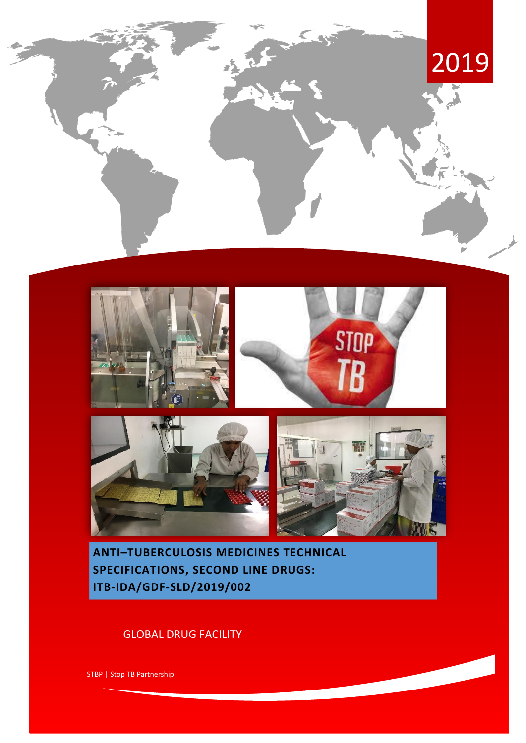





**ANTI–TUBERCULOSIS MEDICINES TECHNICAL SPECIFICATIONS, SECOND LINE DRUGS: ITB-IDA/GDF-SLD/2019/002**

# GLOBAL DRUG FACILITY

STBP | Stop TB Partnership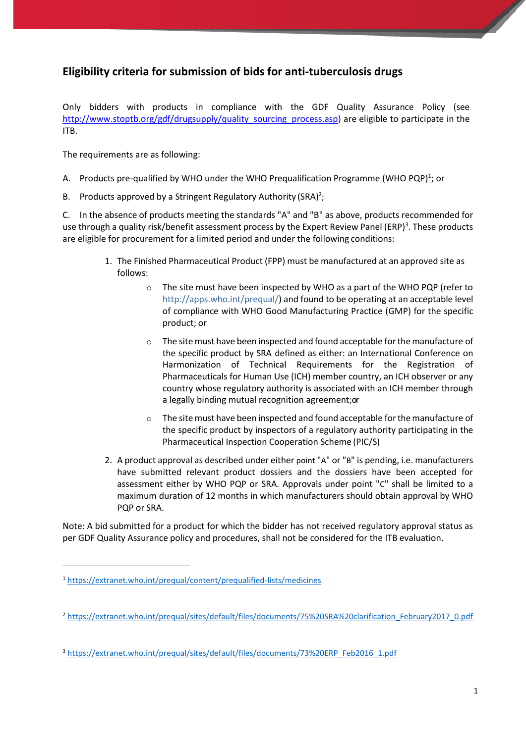# **Eligibility criteria for submission of bids for anti-tuberculosis drugs**

Only bidders with products in compliance with the GDF Quality Assurance Policy (see [http://www.stoptb.org/gdf/drugsupply/quality\\_sourcing\\_process.asp\)](http://www.stoptb.org/gdf/drugsupply/quality_sourcing_process.asp) are eligible to participate in the ITB.

The requirements are as following:

- A. Products pre-qualified by WHO under the WHO Prequalification Programme (WHO PQP)<sup>1</sup>; or
- B. Products approved by a Stringent Regulatory Authority (SRA)<sup>2</sup>;

C. In the absence of products meeting the standards "A" and "B" as above, products recommended for use through a quality risk/benefit assessment process by the Expert Review Panel (ERP)<sup>3</sup>. These products are eligible for procurement for a limited period and under the following conditions:

- 1. The Finished Pharmaceutical Product (FPP) must be manufactured at an approved site as follows:
	- o The site must have been inspected by WHO as a part of the WHO PQP (refer to [http://apps.who.int/prequal/\)](http://apps.who.int/prequal/) and found to be operating at an acceptable level of compliance with WHO Good Manufacturing Practice (GMP) for the specific product; or
	- o The sitemust have been inspected and found acceptable forthemanufacture of the specific product by SRA defined as either: an International Conference on Harmonization of Technical Requirements for the Registration of Pharmaceuticals for Human Use (ICH) member country, an ICH observer or any country whose regulatory authority is associated with an ICH member through a legally binding mutual recognition agreement; or
	- $\circ$  The site must have been inspected and found acceptable for the manufacture of the specific product by inspectors of a regulatory authority participating in the Pharmaceutical Inspection Cooperation Scheme (PIC/S)
- 2. A product approval as described under either point "A" or "B" is pending, i.e. manufacturers have submitted relevant product dossiers and the dossiers have been accepted for assessment either by WHO PQP or SRA. Approvals under point "C" shall be limited to a maximum duration of 12 months in which manufacturers should obtain approval by WHO PQP or SRA.

Note: A bid submitted for a product for which the bidder has not received regulatory approval status as per GDF Quality Assurance policy and procedures, shall not be considered for the ITB evaluation.

 $\overline{a}$ 

 $\overline{\phantom{a}}$ 

<sup>1</sup> <https://extranet.who.int/prequal/content/prequalified-lists/medicines>

<sup>2</sup> [https://extranet.who.int/prequal/sites/default/files/documents/75%20SRA%20clarification\\_February2017\\_0.pdf](https://extranet.who.int/prequal/sites/default/files/documents/75%20SRA%20clarification_February2017_0.pdf)

<sup>3</sup> [https://extranet.who.int/prequal/sites/default/files/documents/73%20ERP\\_Feb2016\\_1.pdf](https://extranet.who.int/prequal/sites/default/files/documents/73%20ERP_Feb2016_1.pdf)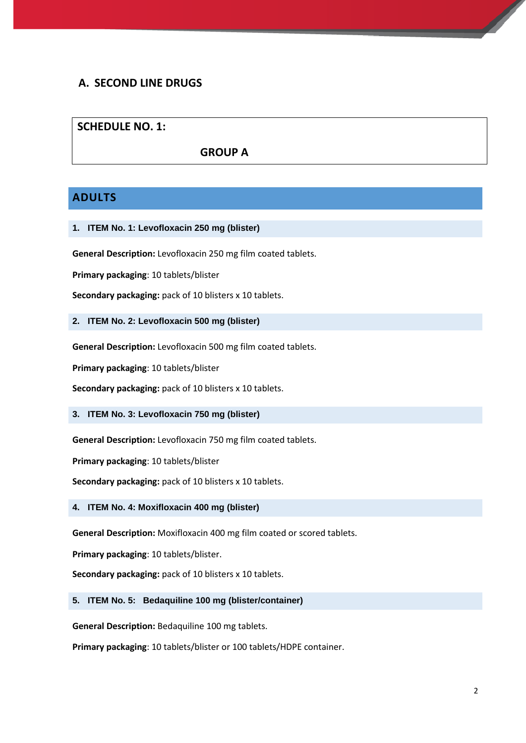## **A. SECOND LINE DRUGS**

## **SCHEDULE NO. 1:**

### **GROUP A**

## **ADULTS**

**1. ITEM No. 1: Levofloxacin 250 mg (blister)**

**General Description:** Levofloxacin 250 mg film coated tablets.

**Primary packaging**: 10 tablets/blister

**Secondary packaging:** pack of 10 blisters x 10 tablets.

**2. ITEM No. 2: Levofloxacin 500 mg (blister)**

**General Description:** Levofloxacin 500 mg film coated tablets.

**Primary packaging**: 10 tablets/blister

**Secondary packaging:** pack of 10 blisters x 10 tablets.

**3. ITEM No. 3: Levofloxacin 750 mg (blister)**

**General Description:** Levofloxacin 750 mg film coated tablets.

**Primary packaging**: 10 tablets/blister

**Secondary packaging:** pack of 10 blisters x 10 tablets.

**4. ITEM No. 4: Moxifloxacin 400 mg (blister)**

**General Description:** Moxifloxacin 400 mg film coated or scored tablets.

**Primary packaging**: 10 tablets/blister.

**Secondary packaging:** pack of 10 blisters x 10 tablets.

#### **5. ITEM No. 5: Bedaquiline 100 mg (blister/container)**

**General Description:** Bedaquiline 100 mg tablets.

**Primary packaging**: 10 tablets/blister or 100 tablets/HDPE container.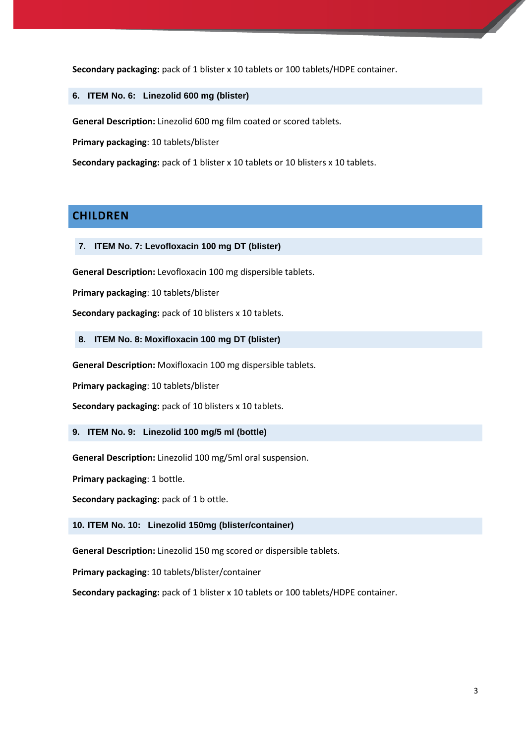**Secondary packaging:** pack of 1 blister x 10 tablets or 100 tablets/HDPE container.

**6. ITEM No. 6: Linezolid 600 mg (blister)**

**General Description:** Linezolid 600 mg film coated or scored tablets.

**Primary packaging**: 10 tablets/blister

**Secondary packaging:** pack of 1 blister x 10 tablets or 10 blisters x 10 tablets.

### **CHILDREN**

**7. ITEM No. 7: Levofloxacin 100 mg DT (blister)**

**General Description:** Levofloxacin 100 mg dispersible tablets.

**Primary packaging**: 10 tablets/blister

**Secondary packaging:** pack of 10 blisters x 10 tablets.

### **8. ITEM No. 8: Moxifloxacin 100 mg DT (blister)**

**General Description:** Moxifloxacin 100 mg dispersible tablets.

**Primary packaging**: 10 tablets/blister

**Secondary packaging:** pack of 10 blisters x 10 tablets.

### **9. ITEM No. 9: Linezolid 100 mg/5 ml (bottle)**

**General Description:** Linezolid 100 mg/5ml oral suspension.

**Primary packaging**: 1 bottle.

**Secondary packaging:** pack of 1 b ottle.

### **10. ITEM No. 10: Linezolid 150mg (blister/container)**

**General Description:** Linezolid 150 mg scored or dispersible tablets.

**Primary packaging**: 10 tablets/blister/container

**Secondary packaging:** pack of 1 blister x 10 tablets or 100 tablets/HDPE container.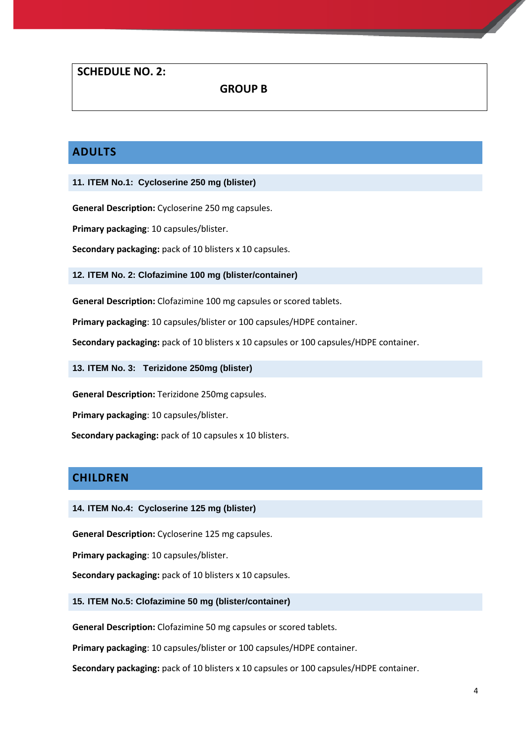### **SCHEDULE NO. 2:**

 **GROUP B**

# **ADULTS**

**11. ITEM No.1: Cycloserine 250 mg (blister)**

**General Description:** Cycloserine 250 mg capsules.

**Primary packaging**: 10 capsules/blister.

**Secondary packaging:** pack of 10 blisters x 10 capsules.

**12. ITEM No. 2: Clofazimine 100 mg (blister/container)**

**General Description:** Clofazimine 100 mg capsules or scored tablets.

**Primary packaging**: 10 capsules/blister or 100 capsules/HDPE container.

**Secondary packaging:** pack of 10 blisters x 10 capsules or 100 capsules/HDPE container.

**13. ITEM No. 3: Terizidone 250mg (blister)**

**General Description:** Terizidone 250mg capsules.

**Primary packaging**: 10 capsules/blister.

 **Secondary packaging:** pack of 10 capsules x 10 blisters.

## **CHILDREN**

**14. ITEM No.4: Cycloserine 125 mg (blister)**

**General Description:** Cycloserine 125 mg capsules.

**Primary packaging**: 10 capsules/blister.

**Secondary packaging:** pack of 10 blisters x 10 capsules.

#### **15. ITEM No.5: Clofazimine 50 mg (blister/container)**

**General Description:** Clofazimine 50 mg capsules or scored tablets.

**Primary packaging**: 10 capsules/blister or 100 capsules/HDPE container.

**Secondary packaging:** pack of 10 blisters x 10 capsules or 100 capsules/HDPE container.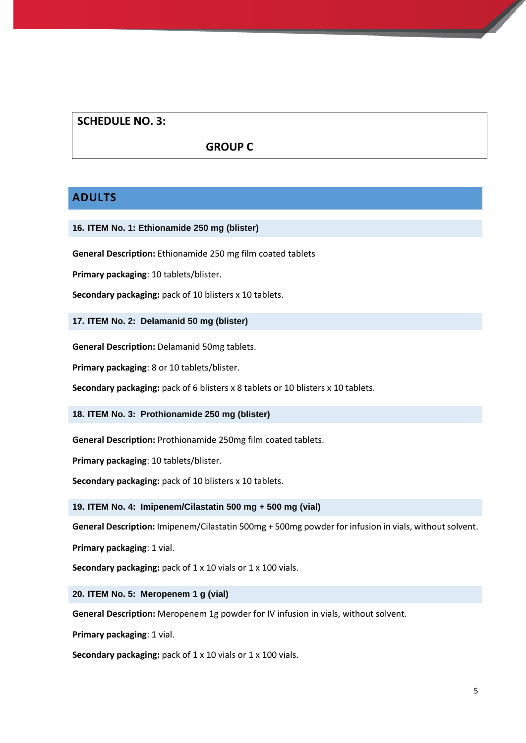## **SCHEDULE NO. 3:**

### **GROUP C**

## **ADULTS**

### **16. ITEM No. 1: Ethionamide 250 mg (blister)**

**General Description:** Ethionamide 250 mg film coated tablets

**Primary packaging**: 10 tablets/blister.

**Secondary packaging:** pack of 10 blisters x 10 tablets.

**17. ITEM No. 2: Delamanid 50 mg (blister)**

**General Description:** Delamanid 50mg tablets.

**Primary packaging**: 8 or 10 tablets/blister.

**Secondary packaging:** pack of 6 blisters x 8 tablets or 10 blisters x 10 tablets.

**18. ITEM No. 3: Prothionamide 250 mg (blister)**

**General Description:** Prothionamide 250mg film coated tablets.

**Primary packaging**: 10 tablets/blister.

**Secondary packaging:** pack of 10 blisters x 10 tablets.

**19. ITEM No. 4: Imipenem/Cilastatin 500 mg + 500 mg (vial)**

**General Description:** Imipenem/Cilastatin 500mg + 500mg powder for infusion in vials, without solvent.

**Primary packaging**: 1 vial.

**Secondary packaging:** pack of 1 x 10 vials or 1 x 100 vials.

**20. ITEM No. 5: Meropenem 1 g (vial)**

**General Description:** Meropenem 1g powder for IV infusion in vials, without solvent.

**Primary packaging**: 1 vial.

**Secondary packaging:** pack of 1 x 10 vials or 1 x 100 vials.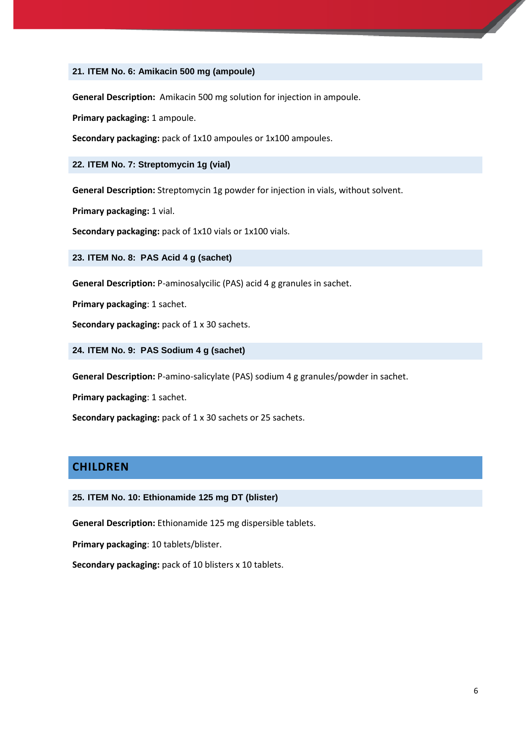### **21. ITEM No. 6: Amikacin 500 mg (ampoule)**

**General Description:** Amikacin 500 mg solution for injection in ampoule.

**Primary packaging:** 1 ampoule.

**Secondary packaging:** pack of 1x10 ampoules or 1x100 ampoules.

#### **22. ITEM No. 7: Streptomycin 1g (vial)**

**General Description:** Streptomycin 1g powder for injection in vials, without solvent.

**Primary packaging:** 1 vial.

**Secondary packaging:** pack of 1x10 vials or 1x100 vials.

**23. ITEM No. 8: PAS Acid 4 g (sachet)**

**General Description:** P-aminosalycilic (PAS) acid 4 g granules in sachet.

**Primary packaging**: 1 sachet.

**Secondary packaging: pack of 1 x 30 sachets.** 

**24. ITEM No. 9: PAS Sodium 4 g (sachet)**

**General Description:** P-amino-salicylate (PAS) sodium 4 g granules/powder in sachet.

**Primary packaging**: 1 sachet.

**Secondary packaging:** pack of 1 x 30 sachets or 25 sachets.

### **CHILDREN**

**25. ITEM No. 10: Ethionamide 125 mg DT (blister)**

**General Description:** Ethionamide 125 mg dispersible tablets.

**Primary packaging**: 10 tablets/blister.

**Secondary packaging:** pack of 10 blisters x 10 tablets.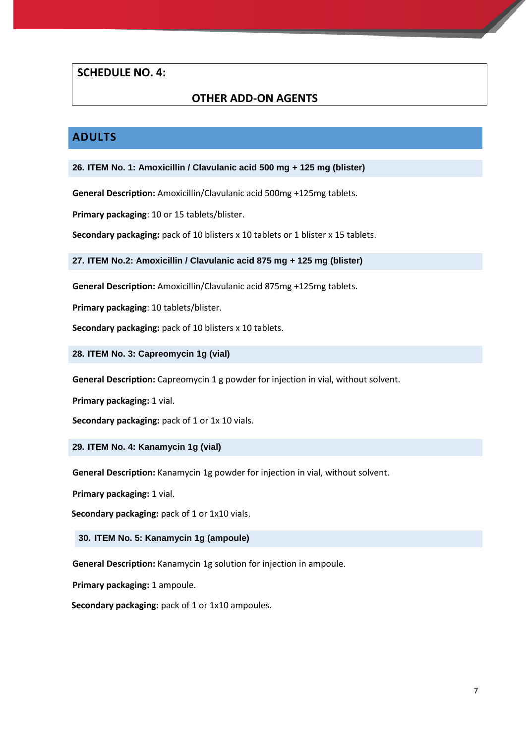### **SCHEDULE NO. 4:**

## **OTHER ADD-ON AGENTS**

## **ADULTS**

**26. ITEM No. 1: Amoxicillin / Clavulanic acid 500 mg + 125 mg (blister)**

**General Description:** Amoxicillin/Clavulanic acid 500mg +125mg tablets.

**Primary packaging**: 10 or 15 tablets/blister.

**Secondary packaging:** pack of 10 blisters x 10 tablets or 1 blister x 15 tablets.

**27. ITEM No.2: Amoxicillin / Clavulanic acid 875 mg + 125 mg (blister)**

**General Description:** Amoxicillin/Clavulanic acid 875mg +125mg tablets.

**Primary packaging**: 10 tablets/blister.

**Secondary packaging:** pack of 10 blisters x 10 tablets.

**28. ITEM No. 3: Capreomycin 1g (vial)**

**General Description:** Capreomycin 1 g powder for injection in vial, without solvent.

**Primary packaging:** 1 vial.

**Secondary packaging: pack of 1 or 1x 10 vials.** 

**29. ITEM No. 4: Kanamycin 1g (vial)**

**General Description:** Kanamycin 1g powder for injection in vial, without solvent.

**Primary packaging:** 1 vial.

**Secondary packaging: pack of 1 or 1x10 vials.** 

**30. ITEM No. 5: Kanamycin 1g (ampoule)**

**General Description:** Kanamycin 1g solution for injection in ampoule.

**Primary packaging:** 1 ampoule.

 **Secondary packaging:** pack of 1 or 1x10 ampoules.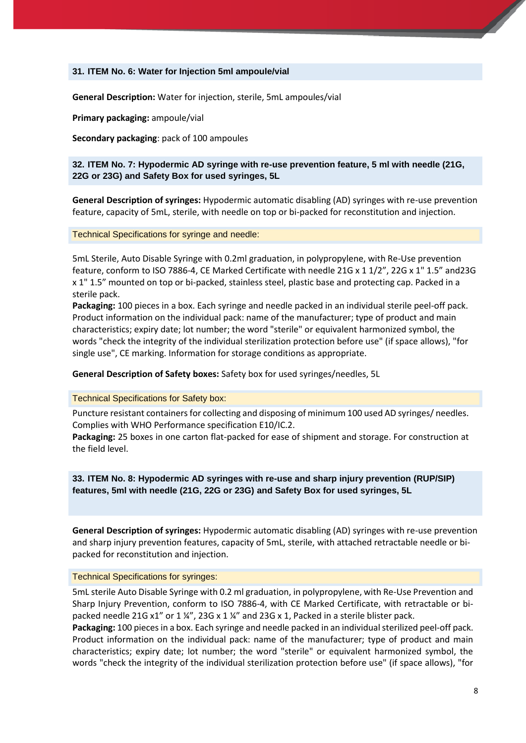#### **31. ITEM No. 6: Water for Injection 5ml ampoule/vial**

**General Description:** Water for injection, sterile, 5mL ampoules/vial

**Primary packaging:** ampoule/vial

**Secondary packaging**: pack of 100 ampoules

**32. ITEM No. 7: Hypodermic AD syringe with re-use prevention feature, 5 ml with needle (21G, 22G or 23G) and Safety Box for used syringes, 5L**

**General Description of syringes:** Hypodermic automatic disabling (AD) syringes with re-use prevention feature, capacity of 5mL, sterile, with needle on top or bi-packed for reconstitution and injection.

Technical Specifications for syringe and needle:

5mL Sterile, Auto Disable Syringe with 0.2ml graduation, in polypropylene, with Re-Use prevention feature, conform to ISO 7886-4, CE Marked Certificate with needle 21G x 1 1/2", 22G x 1" 1.5" and23G x 1" 1.5" mounted on top or bi-packed, stainless steel, plastic base and protecting cap. Packed in a sterile pack.

**Packaging:** 100 pieces in a box. Each syringe and needle packed in an individual sterile peel-off pack. Product information on the individual pack: name of the manufacturer; type of product and main characteristics; expiry date; lot number; the word "sterile" or equivalent harmonized symbol, the words "check the integrity of the individual sterilization protection before use" (if space allows), "for single use", CE marking. Information for storage conditions as appropriate.

**General Description of Safety boxes:** Safety box for used syringes/needles, 5L

Technical Specifications for Safety box:

Puncture resistant containers for collecting and disposing of minimum 100 used AD syringes/ needles. Complies with WHO Performance specification E10/IC.2.

**Packaging:** 25 boxes in one carton flat-packed for ease of shipment and storage. For construction at the field level.

**33. ITEM No. 8: Hypodermic AD syringes with re-use and sharp injury prevention (RUP/SIP) features, 5ml with needle (21G, 22G or 23G) and Safety Box for used syringes, 5L**

**General Description of syringes:** Hypodermic automatic disabling (AD) syringes with re-use prevention and sharp injury prevention features, capacity of 5mL, sterile, with attached retractable needle or bipacked for reconstitution and injection.

#### Technical Specifications for syringes:

5mL sterile Auto Disable Syringe with 0.2 ml graduation, in polypropylene, with Re-Use Prevention and Sharp Injury Prevention, conform to ISO 7886-4, with CE Marked Certificate, with retractable or bipacked needle 21G x1" or 1 ¼", 23G x 1 ¼" and 23G x 1, Packed in a sterile blister pack.

Packaging: 100 pieces in a box. Each syringe and needle packed in an individual sterilized peel-off pack. Product information on the individual pack: name of the manufacturer; type of product and main characteristics; expiry date; lot number; the word "sterile" or equivalent harmonized symbol, the words "check the integrity of the individual sterilization protection before use" (if space allows), "for